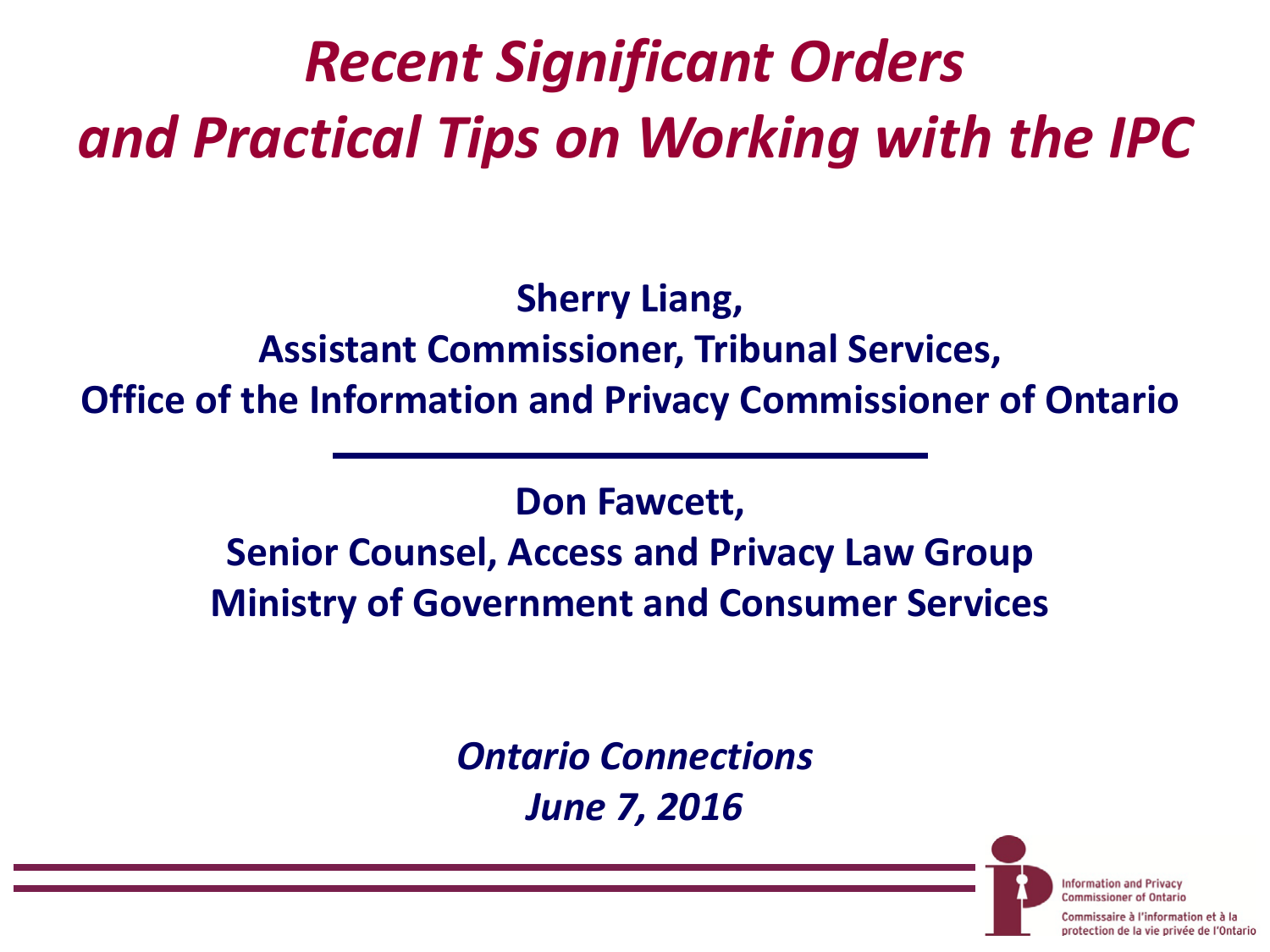# *Recent Significant Orders and Practical Tips on Working with the IPC*

**Sherry Liang, Assistant Commissioner, Tribunal Services, Office of the Information and Privacy Commissioner of Ontario**

**Don Fawcett,** 

**Senior Counsel, Access and Privacy Law Group Ministry of Government and Consumer Services**

> *Ontario Connections June 7, 2016*

> > **Information and Privacy Commissioner of Ontario**

aire à l'information et à la protection de la vie privée de l'Ontario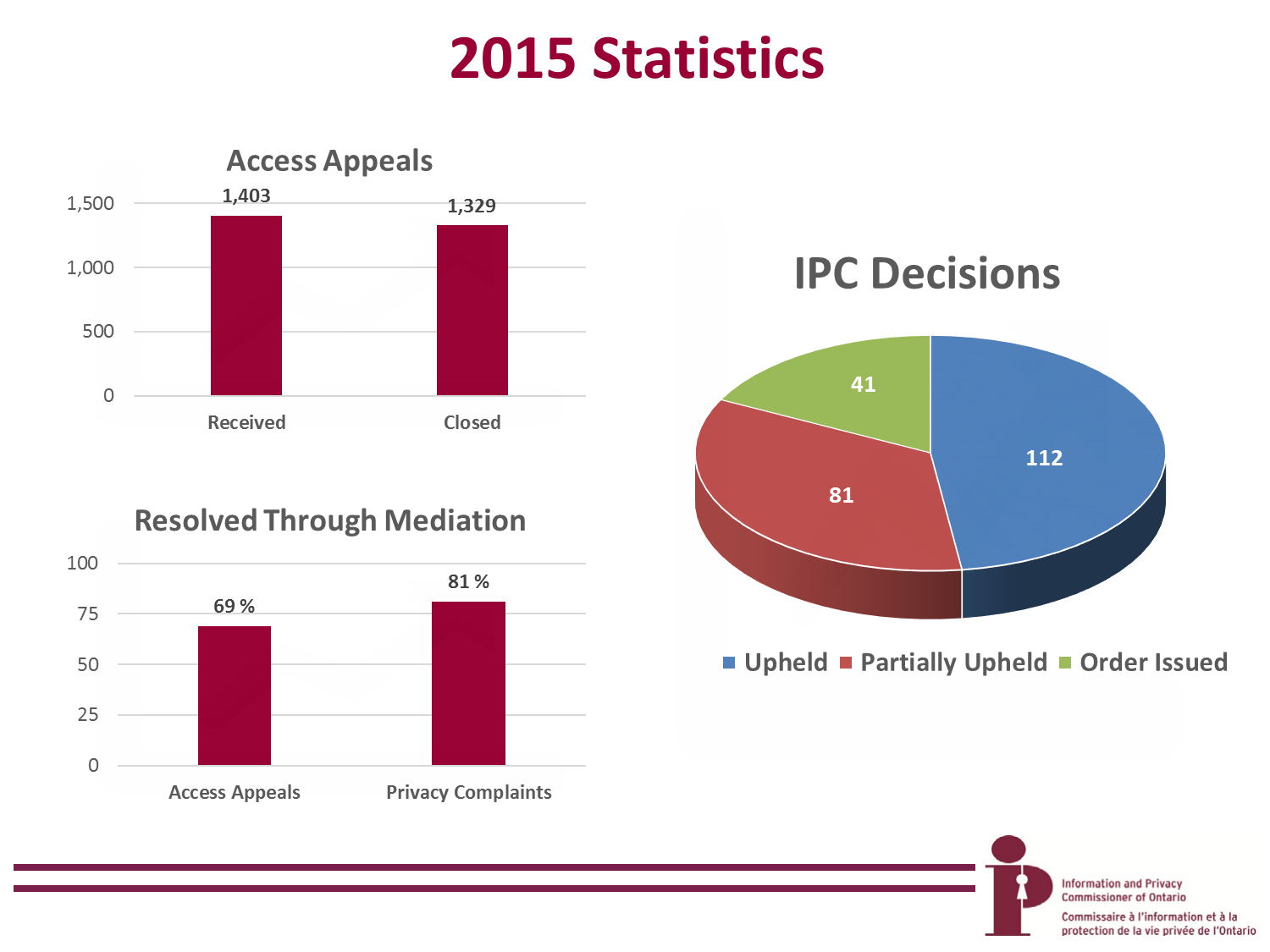## **2015 Statistics**



#### **Resolved Through Mediation**



**IPC Decisions** 



Upheld Partially Upheld Order Issued

**Information and Privacy Commissioner of Ontario** 

Commissaire à l'information et à la protection de la vie privée de l'Ontario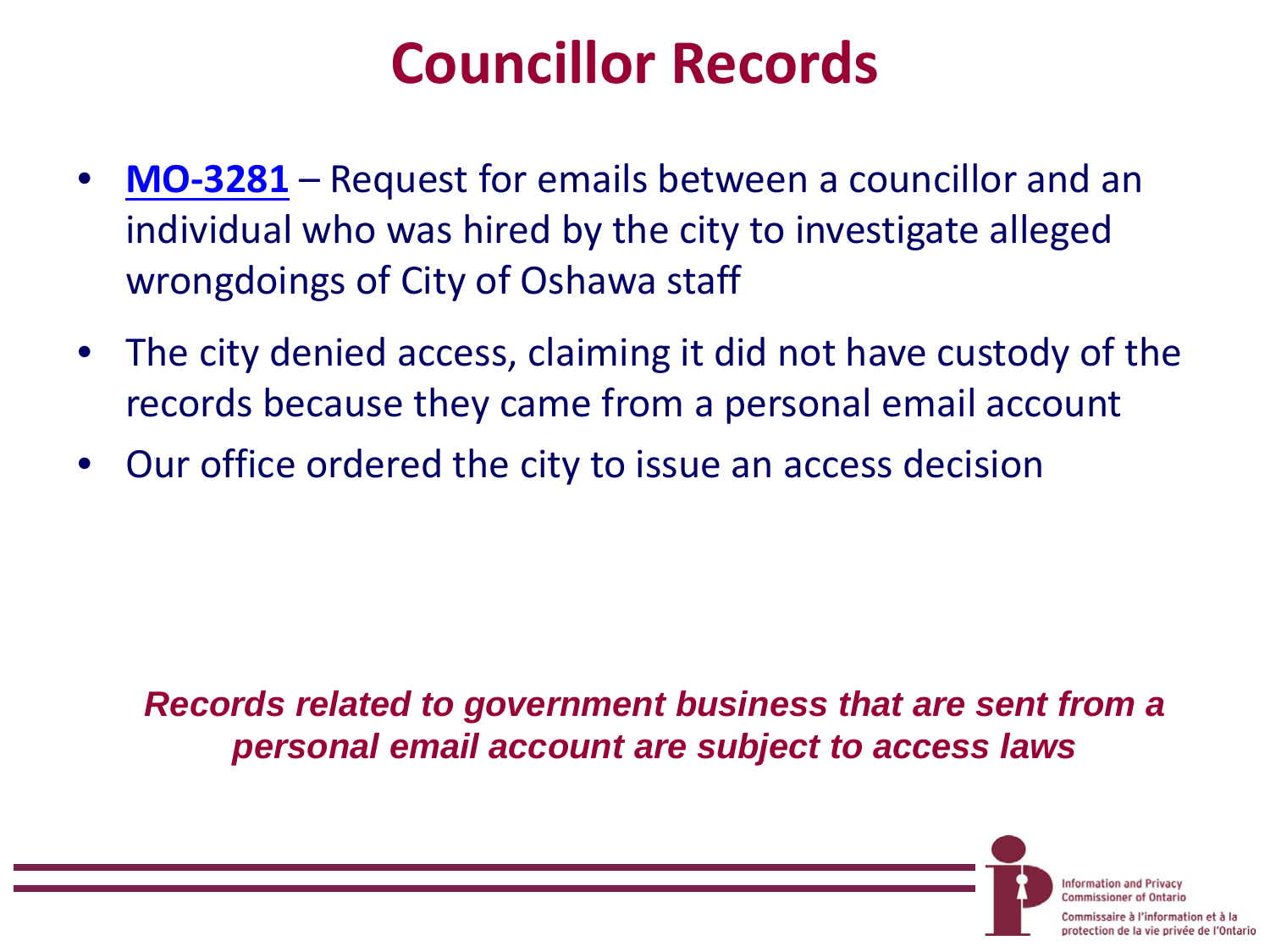## **Councillor Records**

- **[MO-3281](https://www.ipc.on.ca/english/Decisions-and-Resolutions/Decisions-and-Resolutions-Summary/?id=10005)** Request for emails between a councillor and an individual who was hired by the city to investigate alleged wrongdoings of City of Oshawa staff
- The city denied access, claiming it did not have custody of the records because they came from a personal email account
- Our office ordered the city to issue an access decision

*Records related to government business that are sent from a personal email account are subject to access laws*

> **Information and Privacy Commissioner of Ontario**

aire à l'information et à la protection de la vie privée de l'Ontario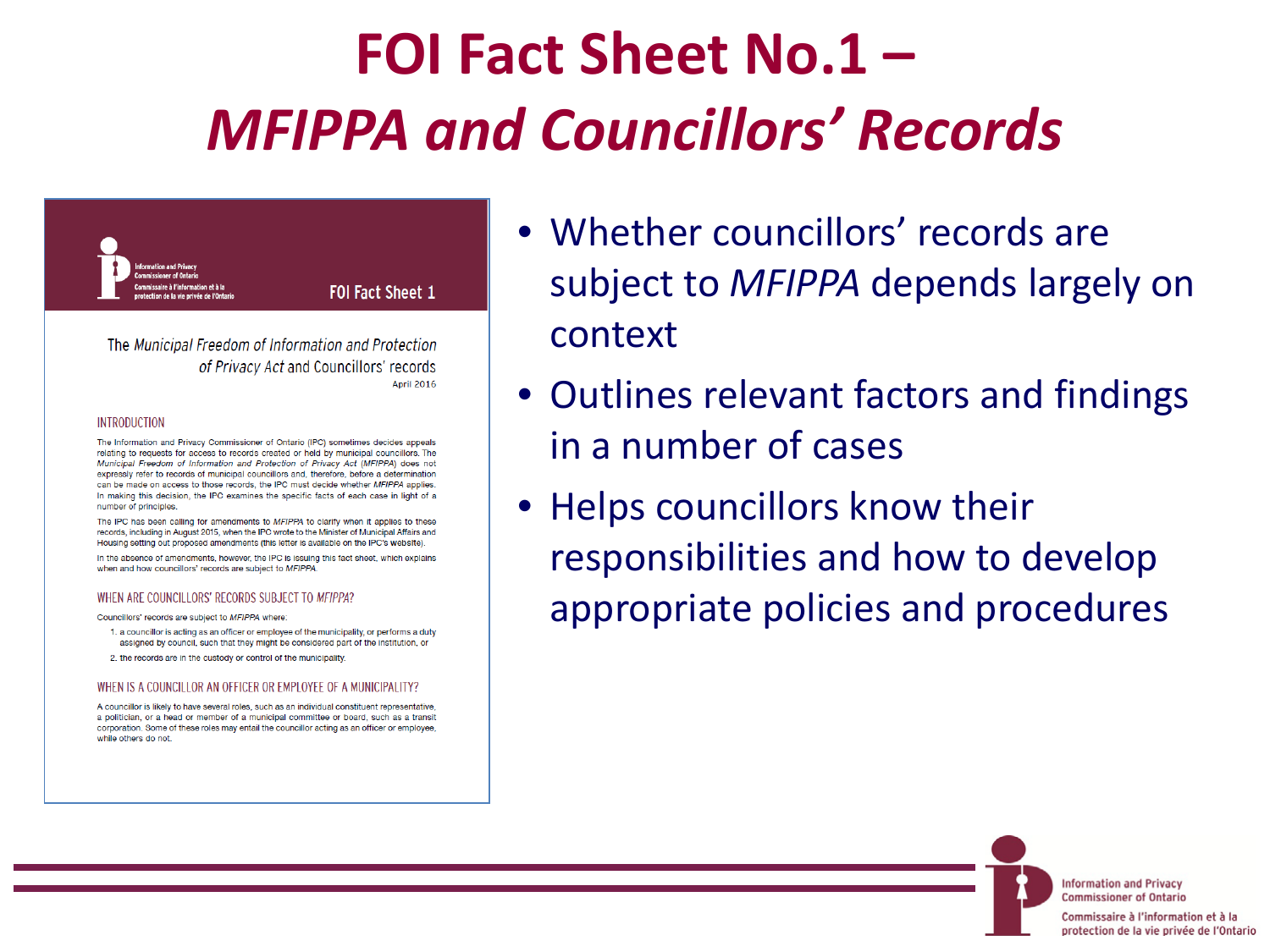# **FOI Fact Sheet No.1 –** *MFIPPA and Councillors' Records*



FOI Fact Sheet 1

The Municipal Freedom of Information and Protection of Privacy Act and Councillors' records **April 2016** 

#### **INTRODUCTION**

The Information and Privacy Commissioner of Ontario (IPC) sometimes decides appeals relating to requests for access to records created or held by municipal councillors. The Municipal Freedom of Information and Protection of Privacy Act (MFIPPA) does not expressly refer to records of municipal councillors and, therefore, before a determination can be made on access to those records, the IPC must decide whether MFIPPA applies. In making this decision, the IPC examines the specific facts of each case in light of a number of principles.

The IPC has been calling for amendments to MFIPPA to clarify when it applies to these records, including in August 2015, when the IPC wrote to the Minister of Municipal Affairs and Housing setting out proposed amendments (this letter is available on the IPC's website).

In the absence of amendments, however, the IPC is issuing this fact sheet, which explains when and how councillors' records are subject to MFIPPA.

#### WHEN ARE COUNCILLORS' RECORDS SUBJECT TO MFIPPA?

Councillors' records are subject to MFIPPA where:

1. a councillor is acting as an officer or employee of the municipality, or performs a duty assigned by council, such that they might be considered part of the institution, or

2. the records are in the custody or control of the municipality.

#### WHEN IS A COUNCILLOR AN OFFICER OR EMPLOYEE OF A MUNICIPALITY?

A councillor is likely to have several roles, such as an individual constituent representative a politician, or a head or member of a municipal committee or board, such as a transit corporation. Some of these roles may entail the councillor acting as an officer or employee, while others do not

- Whether councillors' records are subject to *MFIPPA* depends largely on context
- Outlines relevant factors and findings in a number of cases
- Helps councillors know their responsibilities and how to develop appropriate policies and procedures

**Information and Privacy Commissioner of Ontario** 

Commissaire à l'information et à la protection de la vie privée de l'Ontario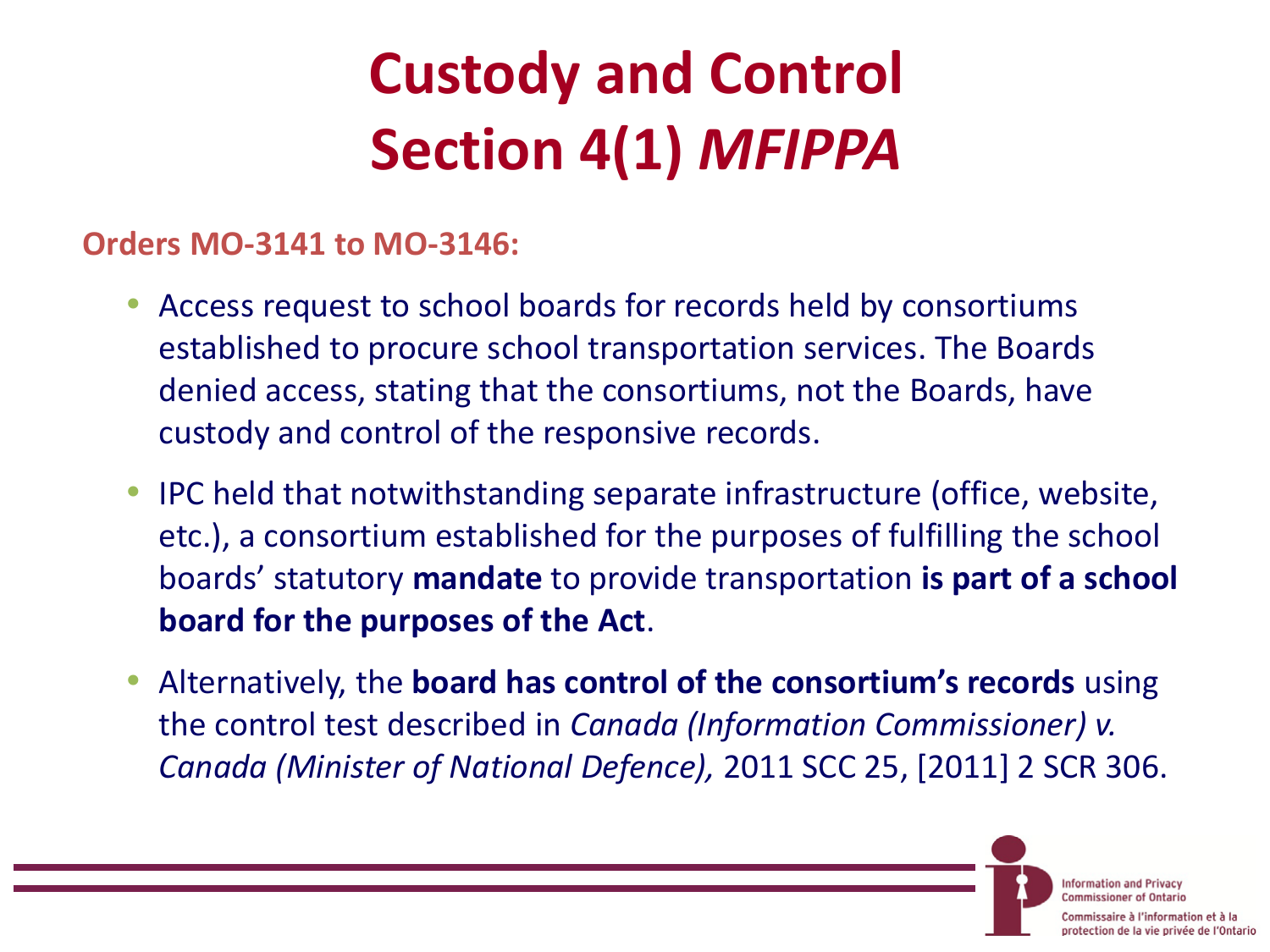# **Custody and Control Section 4(1)** *MFIPPA*

#### **Orders MO-3141 to MO-3146:**

- Access request to school boards for records held by consortiums established to procure school transportation services. The Boards denied access, stating that the consortiums, not the Boards, have custody and control of the responsive records.
- IPC held that notwithstanding separate infrastructure (office, website, etc.), a consortium established for the purposes of fulfilling the school boards' statutory **mandate** to provide transportation **is part of a school board for the purposes of the Act**.
- Alternatively, the **board has control of the consortium's records** using the control test described in *Canada (Information Commissioner) v. Canada (Minister of National Defence),* 2011 SCC 25, [2011] 2 SCR 306.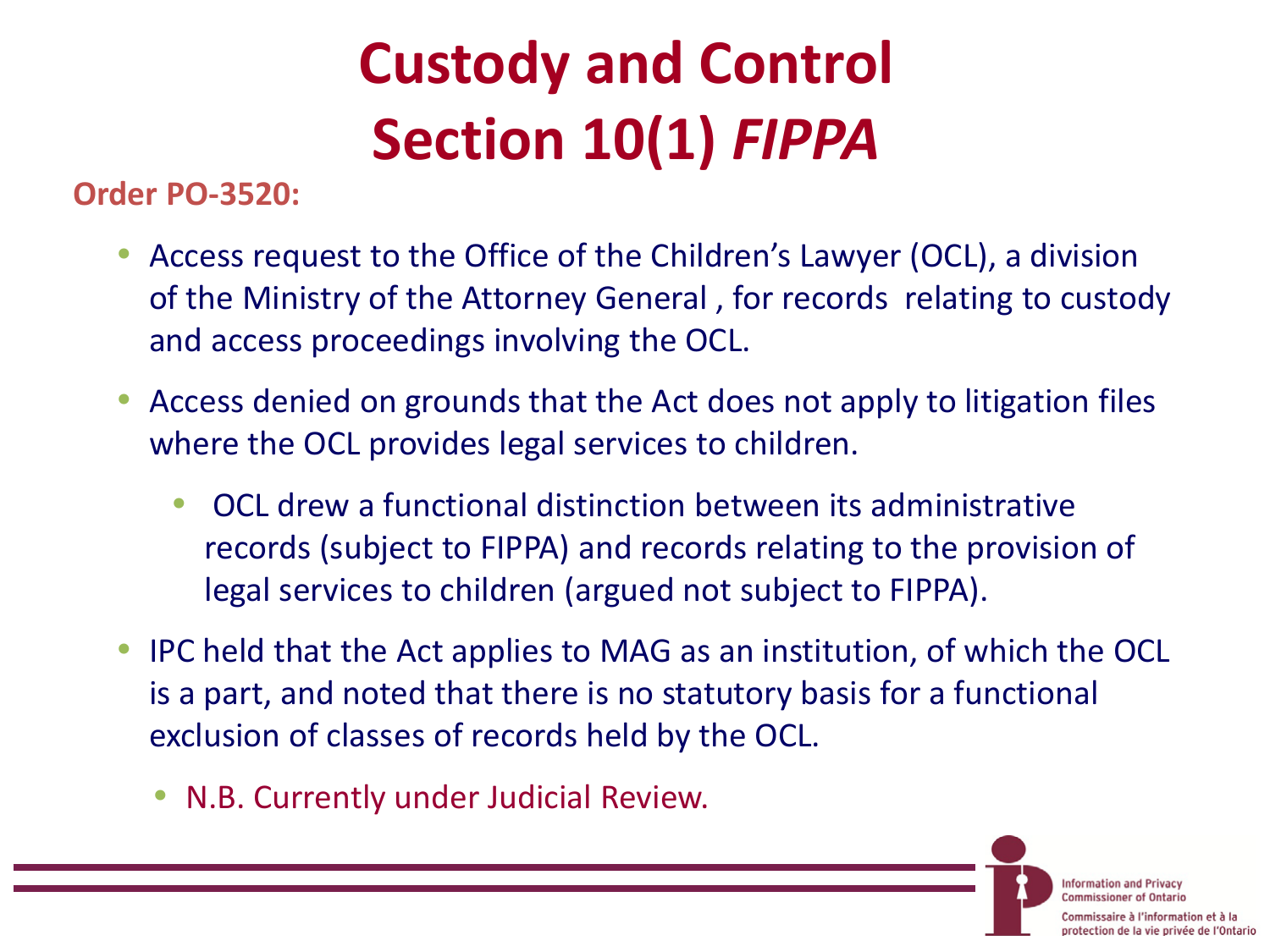# **Custody and Control Section 10(1)** *FIPPA*

**Order PO-3520:**

- Access request to the Office of the Children's Lawyer (OCL), a division of the Ministry of the Attorney General , for records relating to custody and access proceedings involving the OCL.
- Access denied on grounds that the Act does not apply to litigation files where the OCL provides legal services to children.
	- OCL drew a functional distinction between its administrative records (subject to FIPPA) and records relating to the provision of legal services to children (argued not subject to FIPPA).
- IPC held that the Act applies to MAG as an institution, of which the OCL is a part, and noted that there is no statutory basis for a functional exclusion of classes of records held by the OCL.
	- N.B. Currently under Judicial Review.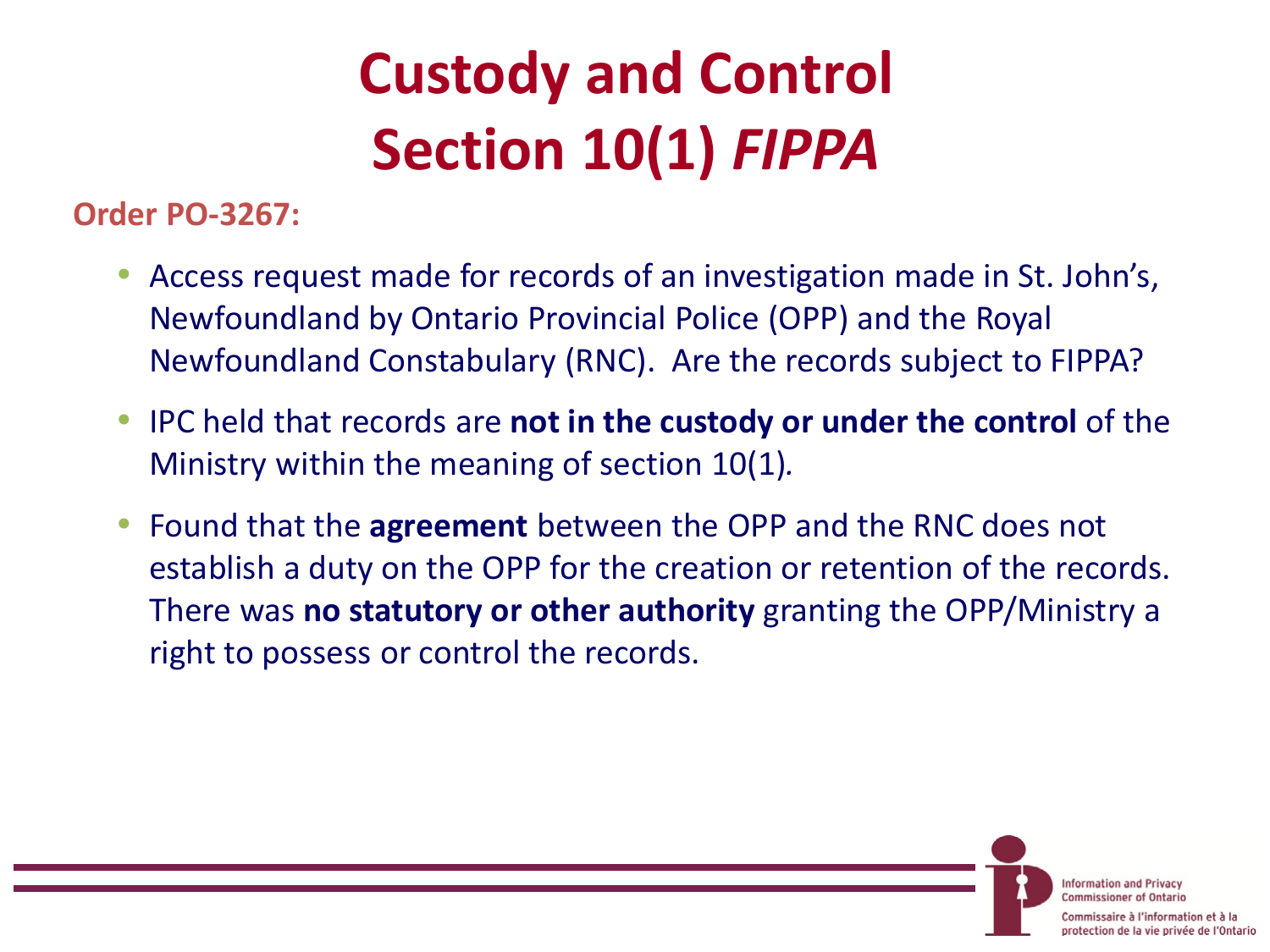# **Custody and Control Section 10(1)** *FIPPA*

**Order PO-3267:**

- Access request made for records of an investigation made in St. John's, Newfoundland by Ontario Provincial Police (OPP) and the Royal Newfoundland Constabulary (RNC). Are the records subject to FIPPA?
- IPC held that records are **not in the custody or under the control** of the Ministry within the meaning of section 10(1)*.*
- Found that the **agreement** between the OPP and the RNC does not establish a duty on the OPP for the creation or retention of the records. There was **no statutory or other authority** granting the OPP/Ministry a right to possess or control the records.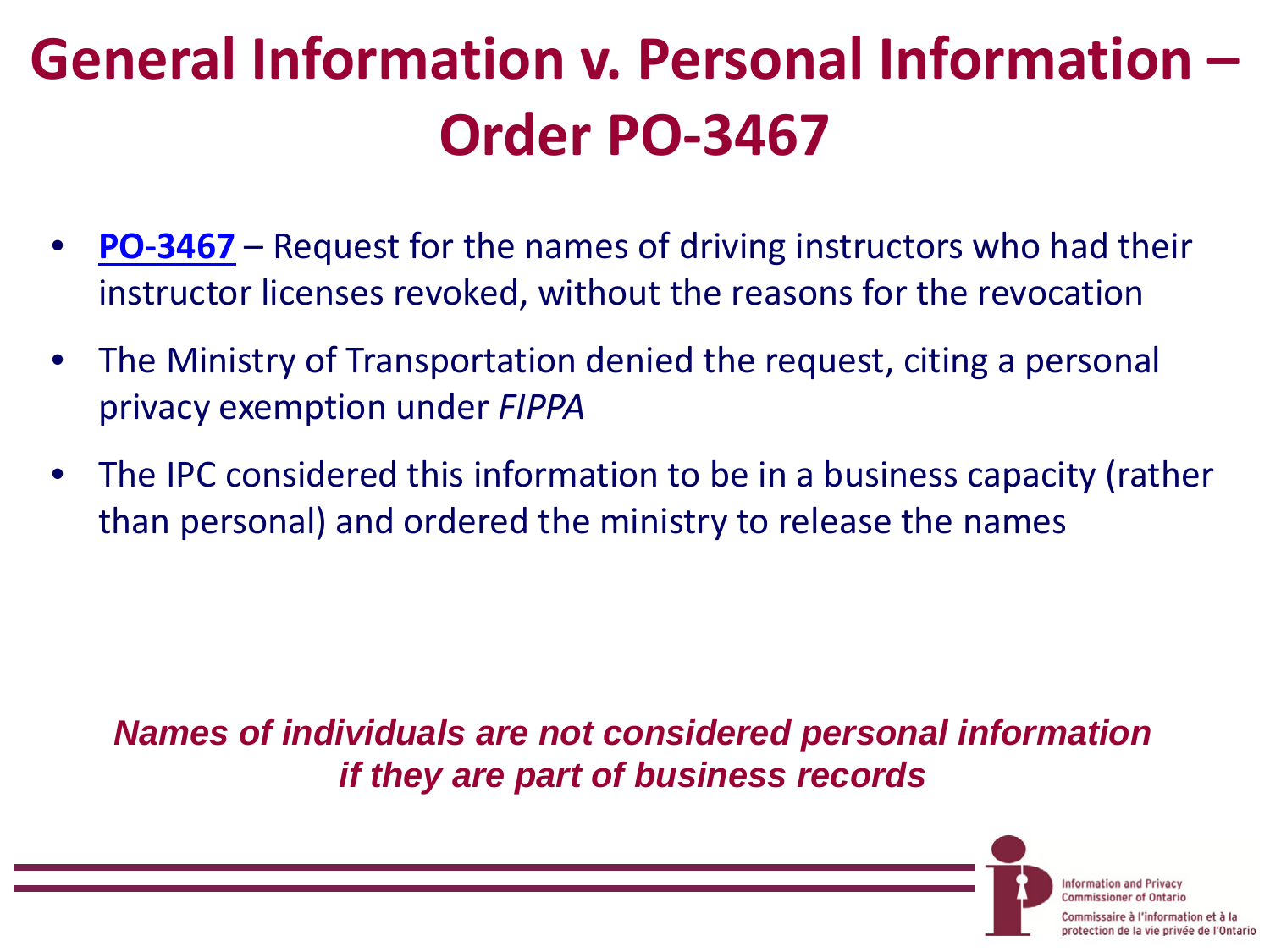# **General Information v. Personal Information – Order PO-3467**

- **[PO-3467](https://www.ipc.on.ca/English/Decisions-and-Resolutions/Decisions-and-Resolutions-Summary/?id=9772)** Request for the names of driving instructors who had their instructor licenses revoked, without the reasons for the revocation
- The Ministry of Transportation denied the request, citing a personal privacy exemption under *FIPPA*
- The IPC considered this information to be in a business capacity (rather than personal) and ordered the ministry to release the names

*Names of individuals are not considered personal information if they are part of business records*

> **Information and Privacy** Commissioner of Ontario

re à l'information et à la protection de la vie privée de l'Ontario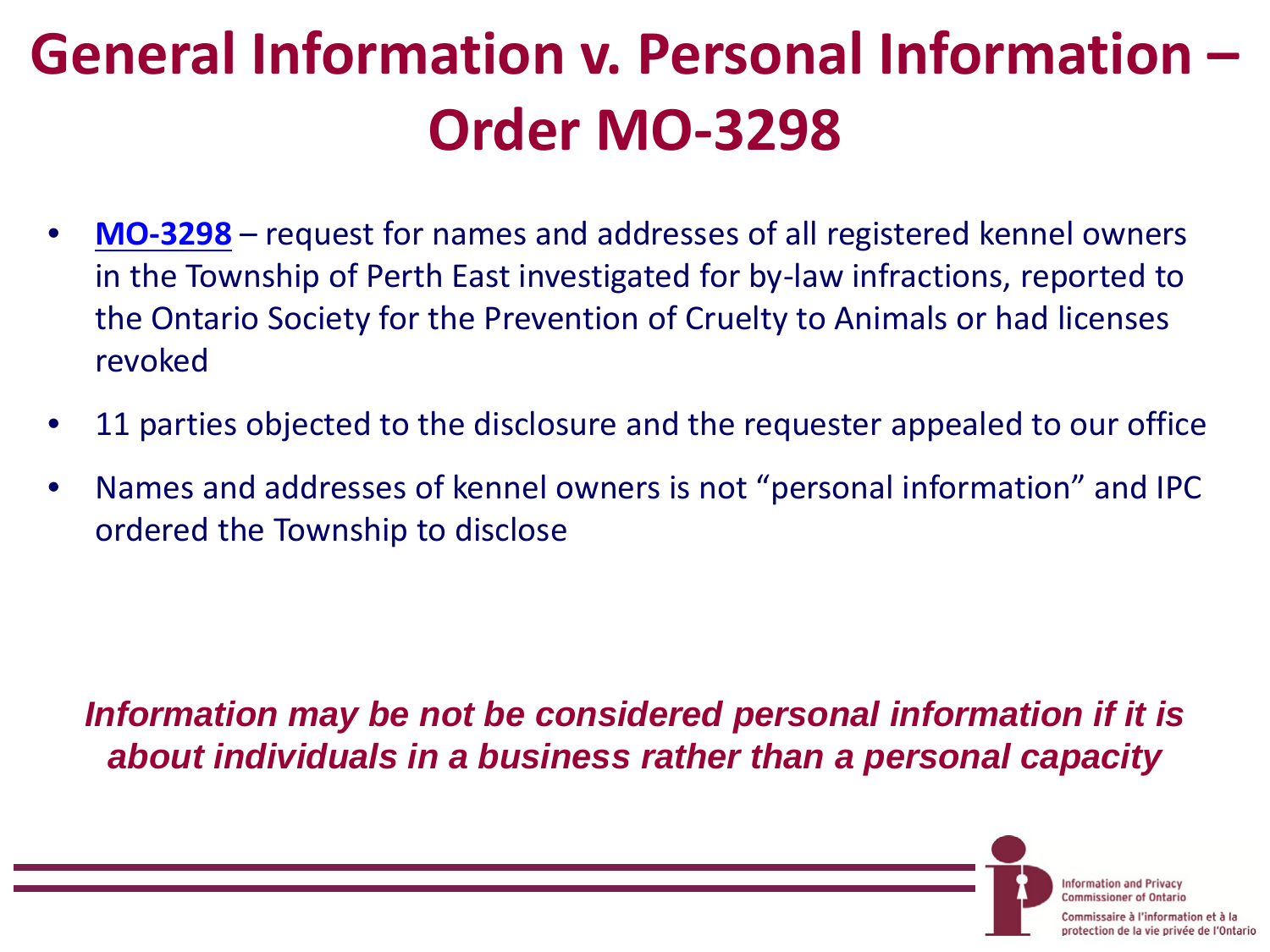# **General Information v. Personal Information – Order MO-3298**

- **[MO-3298](https://www.ipc.on.ca/english/Decisions-and-Resolutions/Decisions-and-Resolutions-Summary/?id=10042)** request for names and addresses of all registered kennel owners in the Township of Perth East investigated for by-law infractions, reported to the Ontario Society for the Prevention of Cruelty to Animals or had licenses revoked
- 11 parties objected to the disclosure and the requester appealed to our office
- Names and addresses of kennel owners is not "personal information" and IPC ordered the Township to disclose

*Information may be not be considered personal information if it is about individuals in a business rather than a personal capacity*

> **Information and Privacy** Commissionar of Ontario

ire à l'information et à la protection de la vie privée de l'Ontario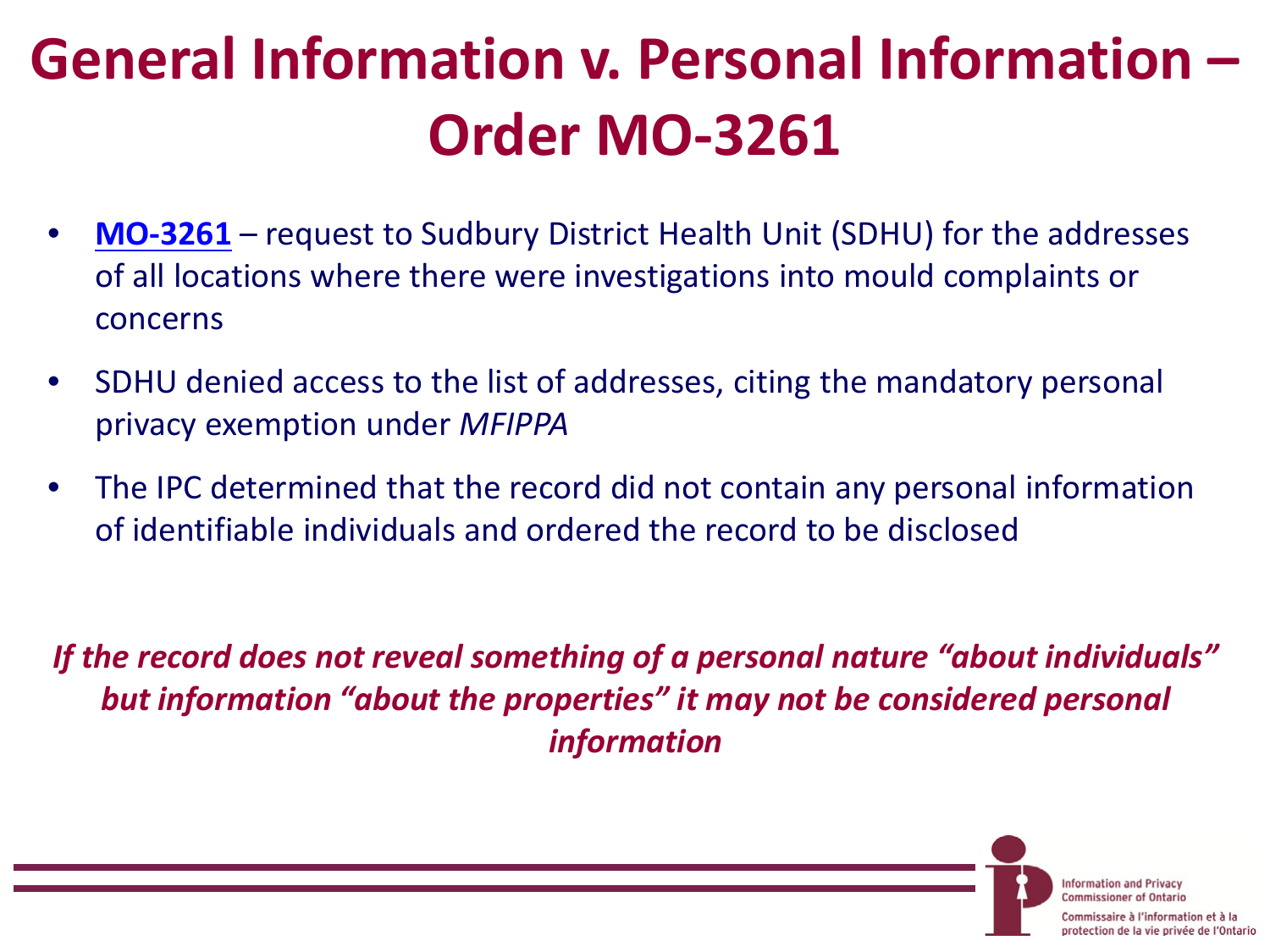# **General Information v. Personal Information – Order MO-3261**

- **[MO-3261](https://www.ipc.on.ca/english/Decisions-and-Resolutions/Decisions-and-Resolutions-Summary/?id=9958)** request to Sudbury District Health Unit (SDHU) for the addresses of all locations where there were investigations into mould complaints or concerns
- SDHU denied access to the list of addresses, citing the mandatory personal privacy exemption under *MFIPPA*
- The IPC determined that the record did not contain any personal information of identifiable individuals and ordered the record to be disclosed

*If the record does not reveal something of a personal nature "about individuals" but information "about the properties" it may not be considered personal information*

> **Information and Privacy Commissioner of Ontario**

aire à l'information et à la protection de la vie privée de l'Ontario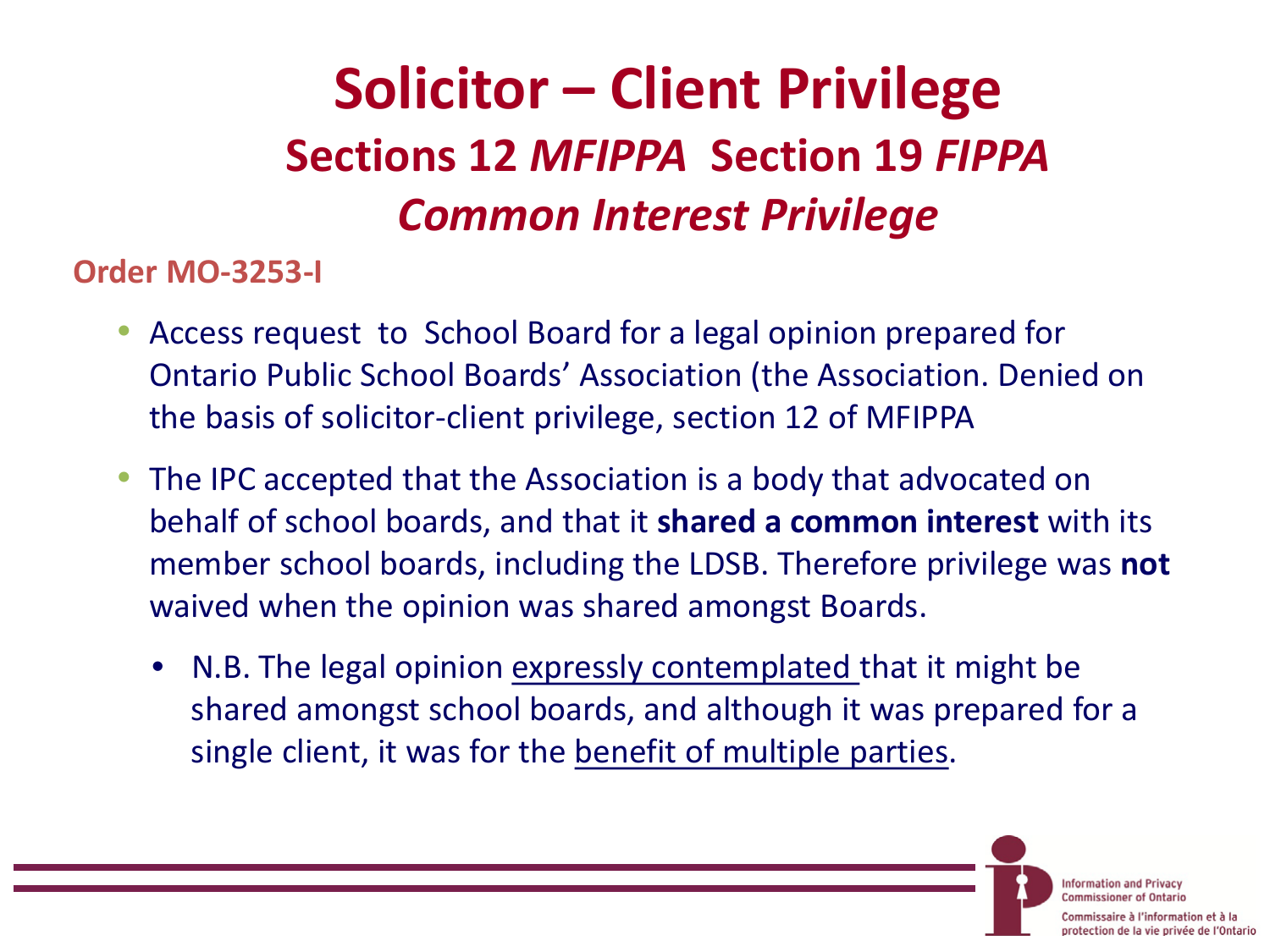## **Solicitor – Client Privilege Sections 12** *MFIPPA* **Section 19** *FIPPA Common Interest Privilege*

**Order MO-3253-I** 

- Access request to School Board for a legal opinion prepared for Ontario Public School Boards' Association (the Association. Denied on the basis of solicitor-client privilege, section 12 of MFIPPA
- The IPC accepted that the Association is a body that advocated on behalf of school boards, and that it **shared a common interest** with its member school boards, including the LDSB. Therefore privilege was **not** waived when the opinion was shared amongst Boards.
	- N.B. The legal opinion expressly contemplated that it might be shared amongst school boards, and although it was prepared for a single client, it was for the benefit of multiple parties.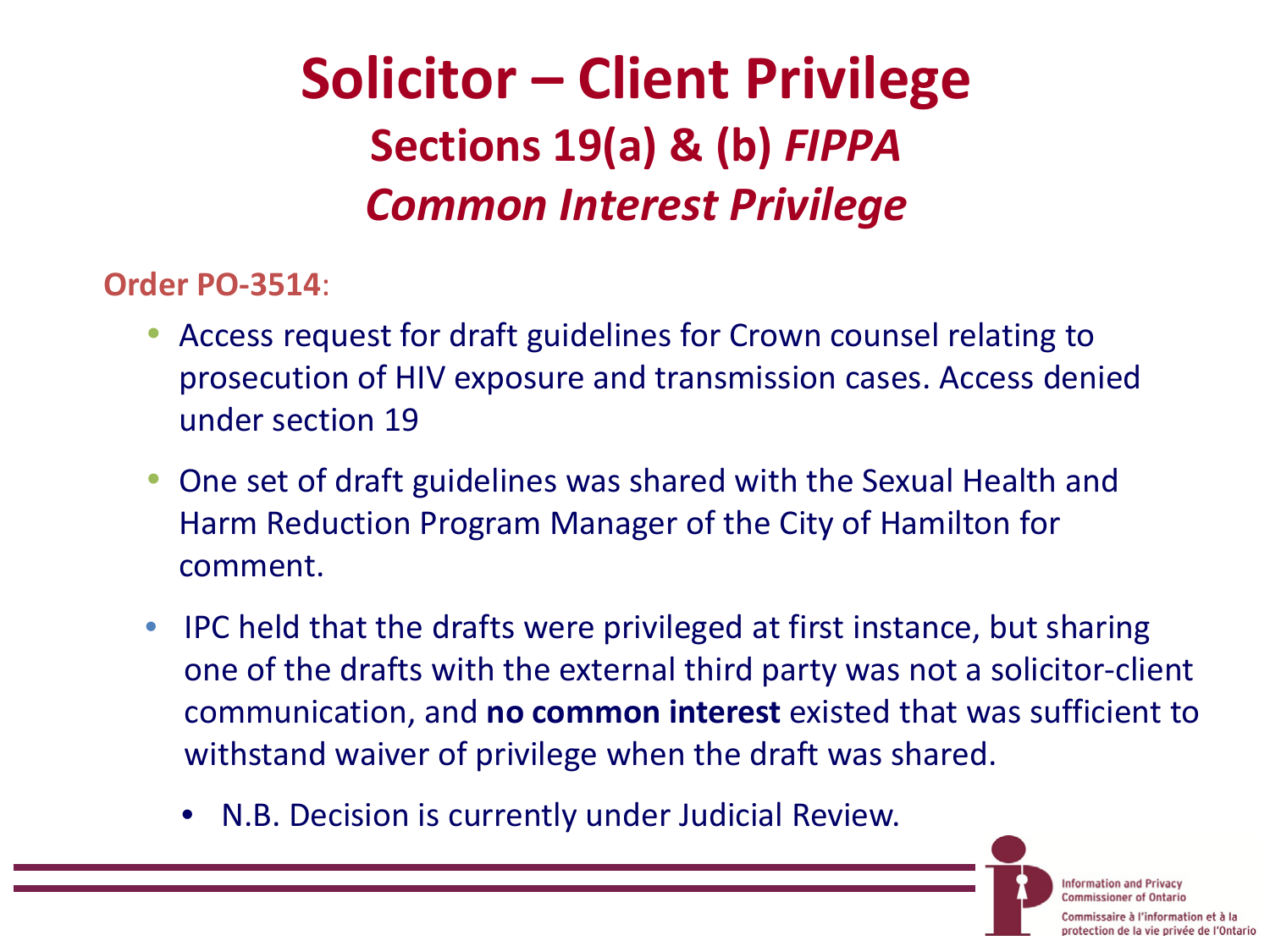## **Solicitor – Client Privilege Sections 19(a) & (b)** *FIPPA Common Interest Privilege*

**Order PO-3514**:

- Access request for draft guidelines for Crown counsel relating to prosecution of HIV exposure and transmission cases. Access denied under section 19
- One set of draft guidelines was shared with the Sexual Health and Harm Reduction Program Manager of the City of Hamilton for comment.
- IPC held that the drafts were privileged at first instance, but sharing one of the drafts with the external third party was not a solicitor-client communication, and **no common interest** existed that was sufficient to withstand waiver of privilege when the draft was shared.
	- N.B. Decision is currently under Judicial Review.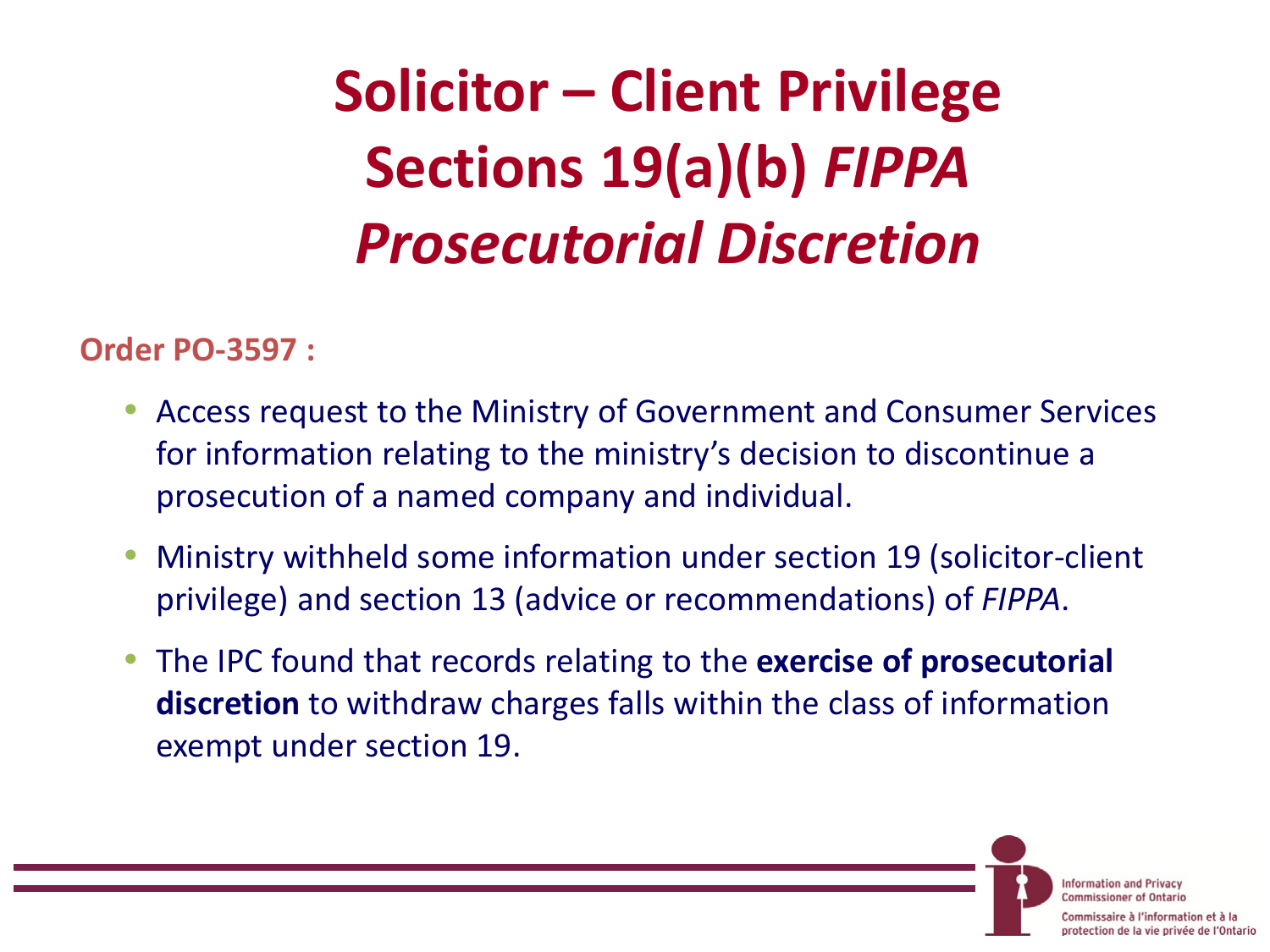# **Solicitor – Client Privilege Sections 19(a)(b)** *FIPPA Prosecutorial Discretion*

#### **Order PO-3597 :**

- Access request to the Ministry of Government and Consumer Services for information relating to the ministry's decision to discontinue a prosecution of a named company and individual.
- Ministry withheld some information under section 19 (solicitor-client privilege) and section 13 (advice or recommendations) of *FIPPA*.
- The IPC found that records relating to the **exercise of prosecutorial discretion** to withdraw charges falls within the class of information exempt under section 19.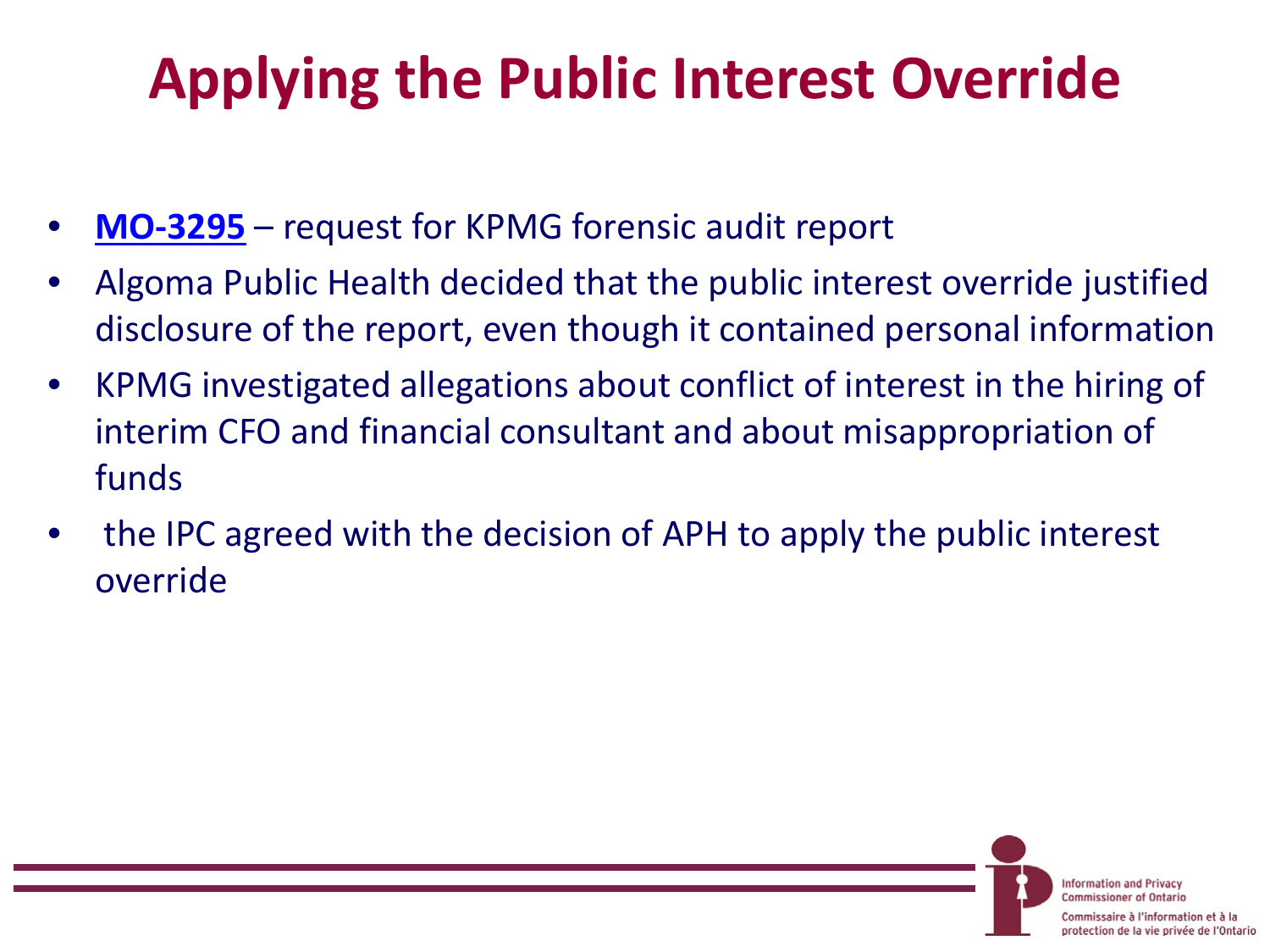# **Applying the Public Interest Override**

- **[MO-3295](https://www.ipc.on.ca/english/Decisions-and-Resolutions/Decisions-and-Resolutions-Summary/?id=9958)** request for KPMG forensic audit report
- Algoma Public Health decided that the public interest override justified disclosure of the report, even though it contained personal information
- KPMG investigated allegations about conflict of interest in the hiring of interim CFO and financial consultant and about misappropriation of funds
- the IPC agreed with the decision of APH to apply the public interest override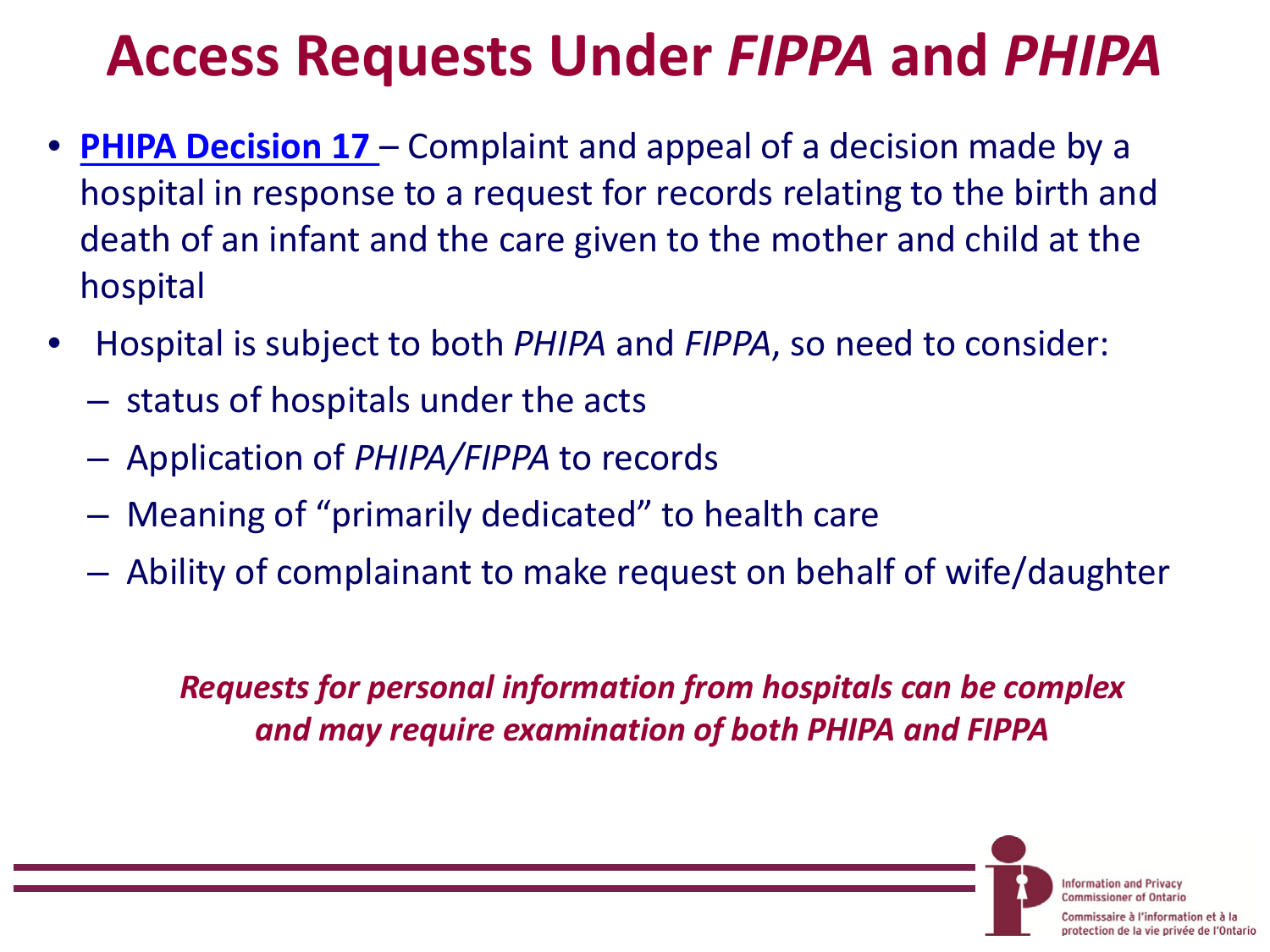## **Access Requests Under** *FIPPA* **and** *PHIPA*

- **[PHIPA Decision 17](https://www.ipc.on.ca/english/Decisions-and-Resolutions/Decisions-and-Resolutions-Summary/?id=9957)**  Complaint and appeal of a decision made by a hospital in response to a request for records relating to the birth and death of an infant and the care given to the mother and child at the hospital
- Hospital is subject to both *PHIPA* and *FIPPA*, so need to consider:
	- status of hospitals under the acts
	- Application of *PHIPA/FIPPA* to records
	- Meaning of "primarily dedicated" to health care
	- Ability of complainant to make request on behalf of wife/daughter

*Requests for personal information from hospitals can be complex and may require examination of both PHIPA and FIPPA*

> **Information and Privacy Commissioner of Ontario**

saire à l'information et à la protection de la vie privée de l'Ontario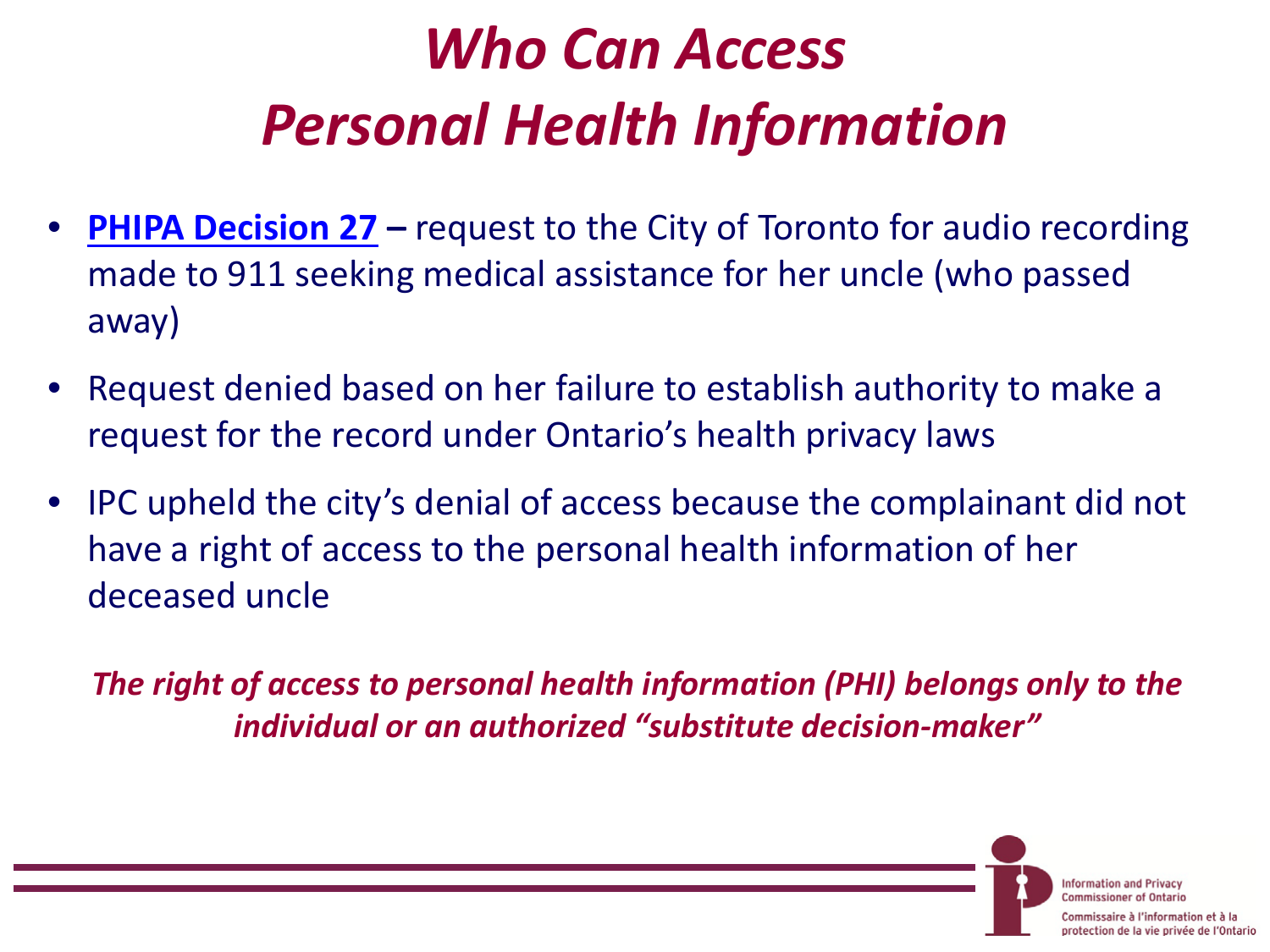# *Who Can Access Personal Health Information*

- **[PHIPA Decision 27](https://www.ipc.on.ca/English/Decisions-and-Resolutions/Decisions-and-Resolutions-Summary/?id=10071)** request to the City of Toronto for audio recording made to 911 seeking medical assistance for her uncle (who passed away)
- Request denied based on her failure to establish authority to make a request for the record under Ontario's health privacy laws
- IPC upheld the city's denial of access because the complainant did not have a right of access to the personal health information of her deceased uncle

*The right of access to personal health information (PHI) belongs only to the individual or an authorized "substitute decision-maker"*

> **Information and Privacy Commissioner of Ontario**

iire à l'information et à la protection de la vie privée de l'Ontario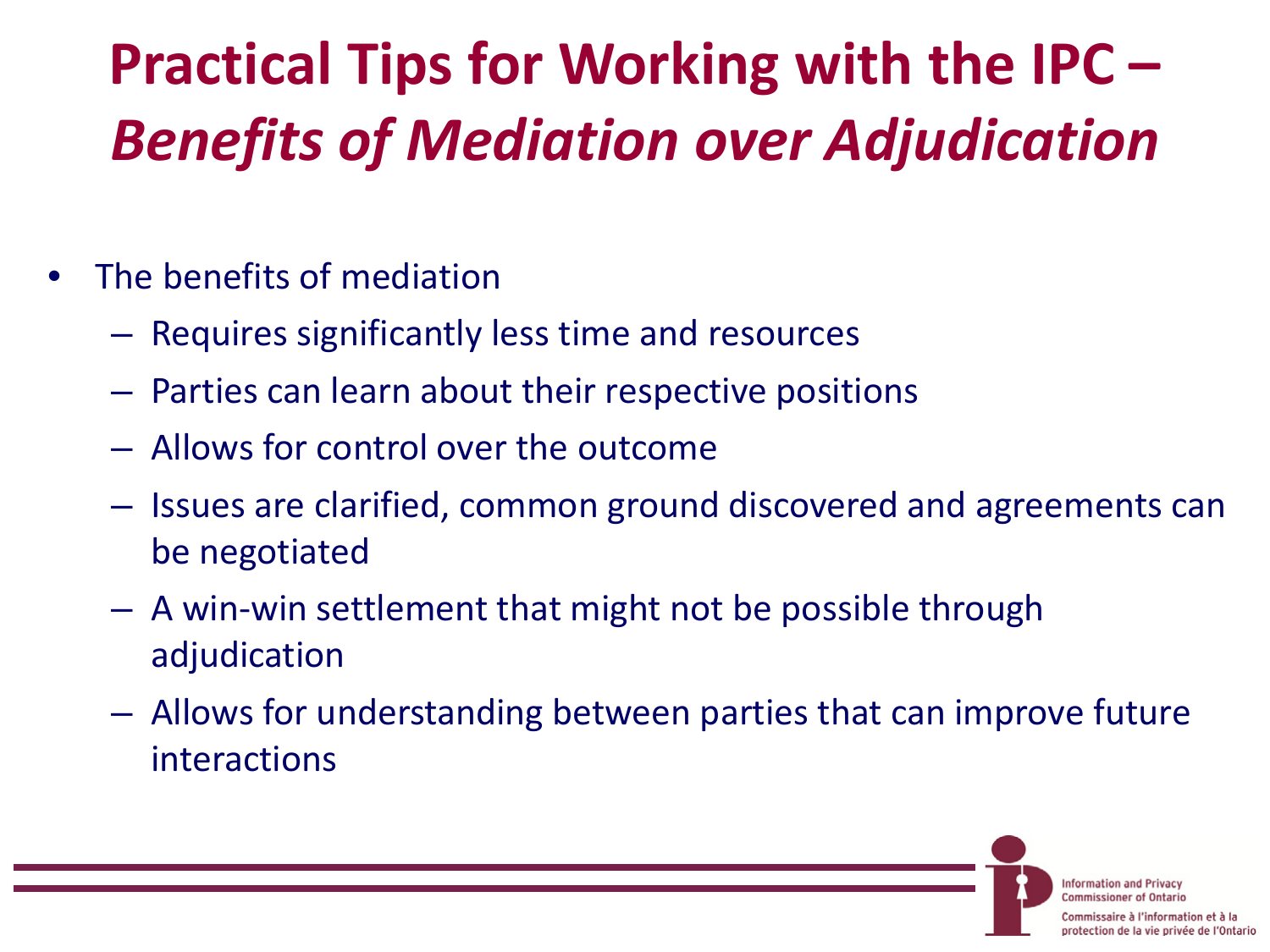# **Practical Tips for Working with the IPC –** *Benefits of Mediation over Adjudication*

- The benefits of mediation
	- Requires significantly less time and resources
	- Parties can learn about their respective positions
	- Allows for control over the outcome
	- Issues are clarified, common ground discovered and agreements can be negotiated
	- A win-win settlement that might not be possible through adjudication
	- Allows for understanding between parties that can improve future interactions

**Information and Privacy Commissioner of Ontario** 

re à l'information et à la protection de la vie privée de l'Ontario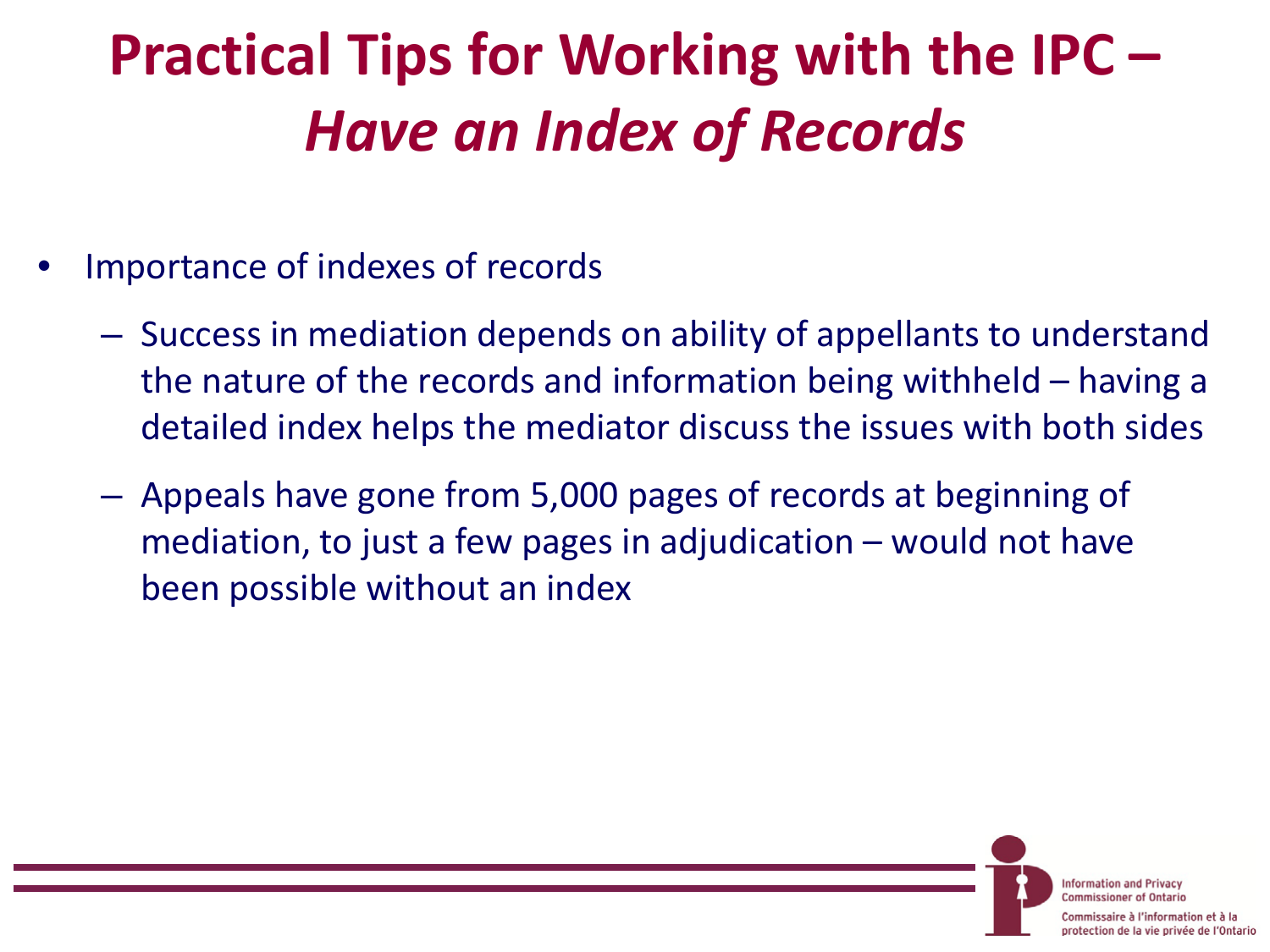# **Practical Tips for Working with the IPC –** *Have an Index of Records*

- Importance of indexes of records
	- Success in mediation depends on ability of appellants to understand the nature of the records and information being withheld – having a detailed index helps the mediator discuss the issues with both sides
	- Appeals have gone from 5,000 pages of records at beginning of mediation, to just a few pages in adjudication – would not have been possible without an index

**Information and Privacy Commissioner of Ontario** 

saire à l'information et à la protection de la vie privée de l'Ontario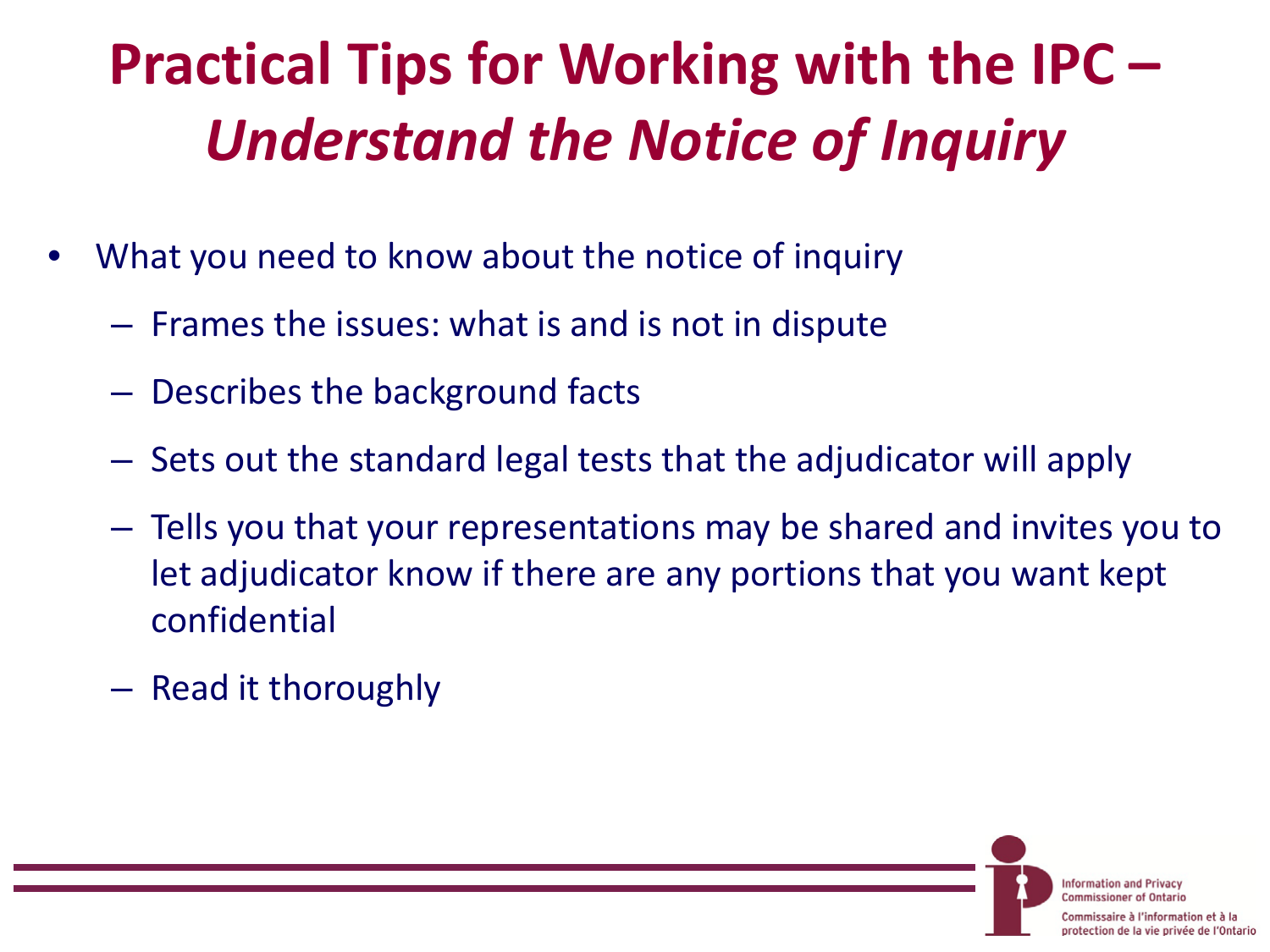# **Practical Tips for Working with the IPC –** *Understand the Notice of Inquiry*

- What you need to know about the notice of inquiry
	- Frames the issues: what is and is not in dispute
	- Describes the background facts
	- Sets out the standard legal tests that the adjudicator will apply
	- Tells you that your representations may be shared and invites you to let adjudicator know if there are any portions that you want kept confidential
	- Read it thoroughly

**Information and Privacy Commissioner of Ontario** 

sire à l'information et à la protection de la vie privée de l'Ontario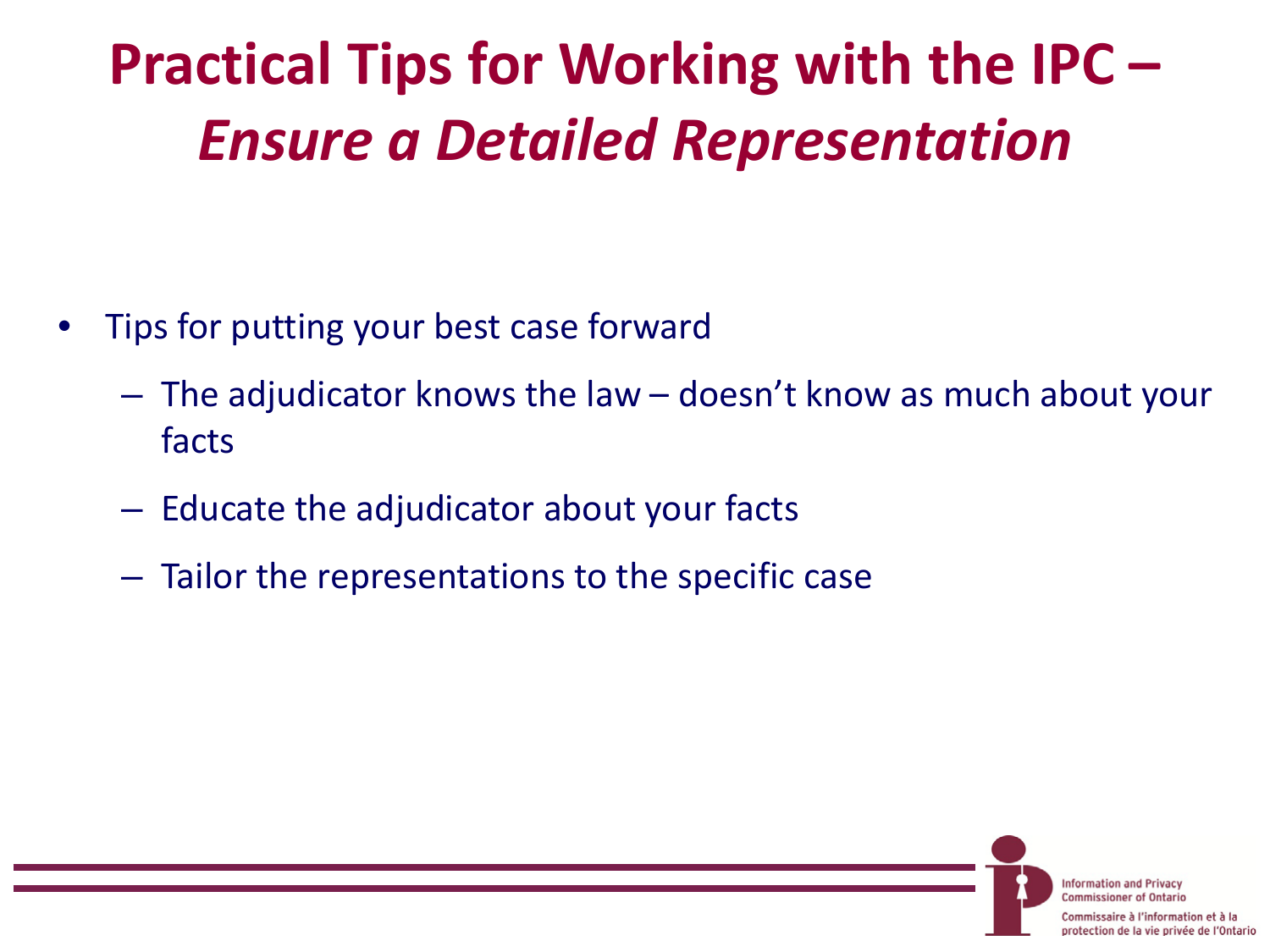# **Practical Tips for Working with the IPC –** *Ensure a Detailed Representation*

- Tips for putting your best case forward
	- The adjudicator knows the law doesn't know as much about your facts

**Information and Privacy Commissioner of Ontario** 

ire à l'information et à la protection de la vie privée de l'Ontario

- Educate the adjudicator about your facts
- Tailor the representations to the specific case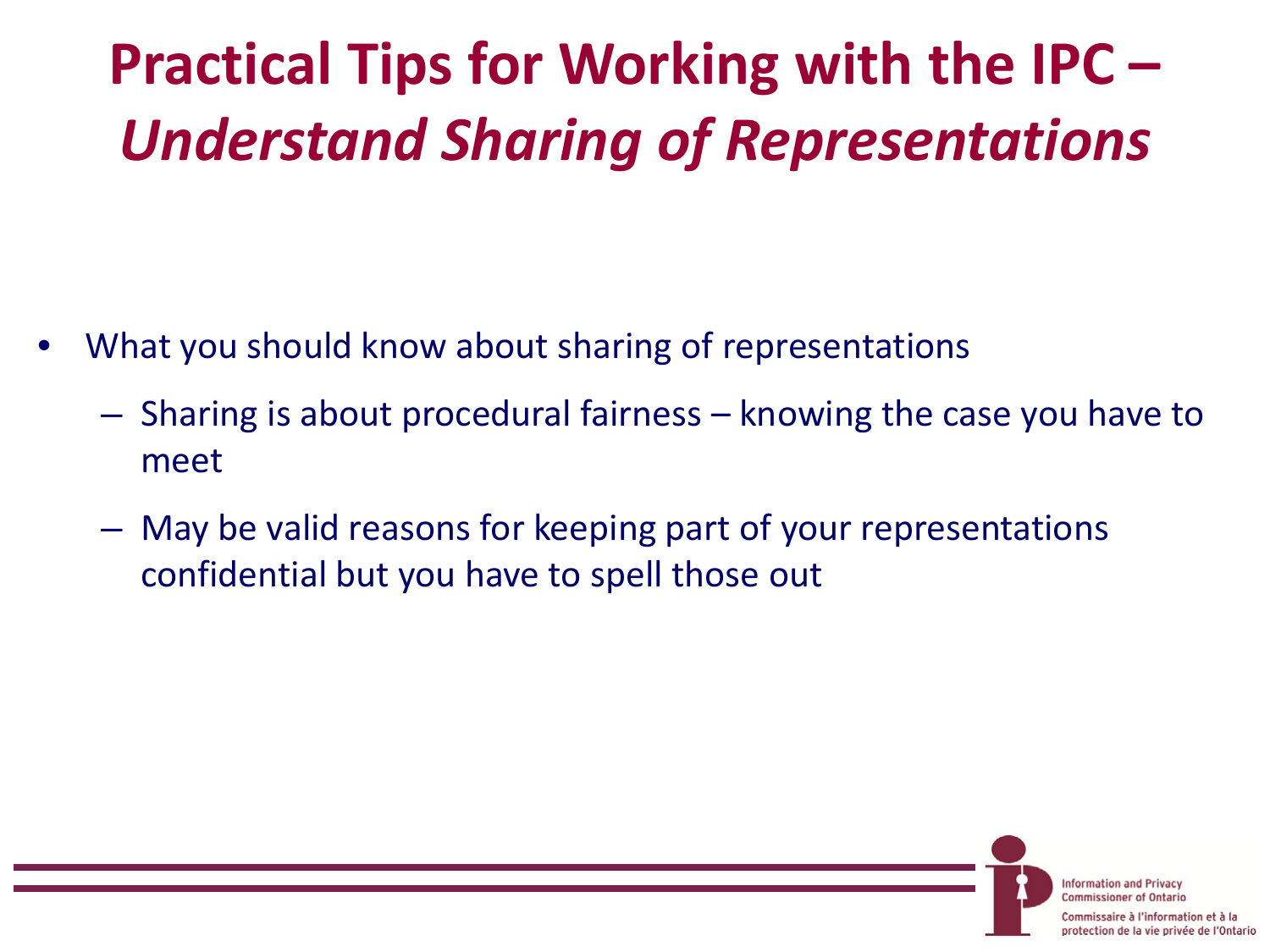# **Practical Tips for Working with the IPC –** *Understand Sharing of Representations*

- What you should know about sharing of representations
	- Sharing is about procedural fairness knowing the case you have to meet
	- May be valid reasons for keeping part of your representations confidential but you have to spell those out

**Information and Privacy Commissioner of Ontario** aire à l'information et à la

protection de la vie privée de l'Ontario